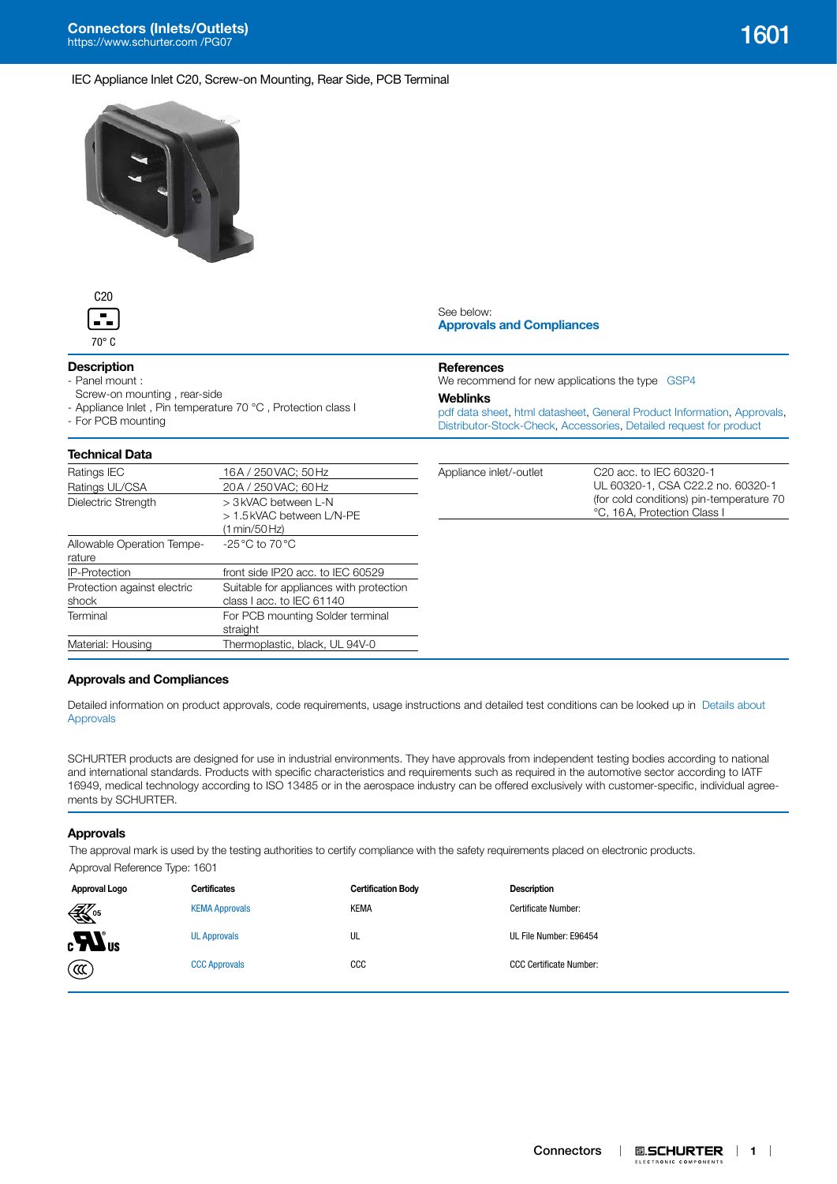



## **Description**

- Panel mount :

- Screw-on mounting , rear-side
- Appliance Inlet, Pin temperature 70 °C, Protection class I
- For PCB mounting

# **Technical Data**

See below: **[Approvals and Compliances](#page-0-0)**

## **References**

We recommend for new applications the type [GSP4](http://www.schurter.com/pdf/english/typ_GSP4.pdf)

#### **Weblinks**

[pdf data sheet,](https://www.schurter.com/en/datasheet/typ_1601.pdf?utm_source=PDF_Files&utm_medium=1601&utm_campaign=Weblinks) [html datasheet](https://www.schurter.com/en/datasheet/1601?&utm_source=PDF_Files&utm_medium=1601&utm_campaign=Weblinks), [General Product Information,](https://www.schurter.com/en/FAQ) [Approvals](https://www.schurter.com/en/Documents-References/Approvals/(id)/Field+producttype=1601), [Distributor-Stock-Check,](https://www.schurter.com/en/Stock-Check/Stock-Check-Distributor?partnumber1=1601) [Accessories](https://www.schurter.com/en/Components/Catalog?(pgz01)/1), [Detailed request for product](https://www.schurter.com/en/Contacts/Contact-Form?type=1601)

| lechnical Data                       |                                                                      |                         |                                                                         |
|--------------------------------------|----------------------------------------------------------------------|-------------------------|-------------------------------------------------------------------------|
| Ratings IEC                          | 16A / 250 VAC; 50 Hz                                                 | Appliance inlet/-outlet | C <sub>20</sub> acc. to IEC 60320-1                                     |
| Ratings UL/CSA                       | 20A / 250 VAC: 60 Hz                                                 |                         | UL 60320-1, CSA C22.2 no. 60320-1                                       |
| Dielectric Strength                  | > 3 kVAC between L-N<br>> 1.5 kVAC between L/N-PE<br>(1 min/50 Hz)   |                         | (for cold conditions) pin-temperature 70<br>°C, 16A, Protection Class I |
| Allowable Operation Tempe-<br>rature | $-25\,^{\circ}\text{C}$ to 70 $^{\circ}\text{C}$                     |                         |                                                                         |
| <b>IP-Protection</b>                 | front side IP20 acc. to IEC 60529                                    |                         |                                                                         |
| Protection against electric<br>shock | Suitable for appliances with protection<br>class I acc. to IEC 61140 |                         |                                                                         |
| Terminal                             | For PCB mounting Solder terminal<br>straight                         |                         |                                                                         |
| Material: Housing                    | Thermoplastic, black, UL 94V-0                                       |                         |                                                                         |
|                                      |                                                                      |                         |                                                                         |

#### <span id="page-0-0"></span>**Approvals and Compliances**

Detailed information on product approvals, code requirements, usage instructions and detailed test conditions can be looked up in [Details about](https://www.schurter.com/en/Components/Connectors/General-Product-Information#1.1)  [Approvals](https://www.schurter.com/en/Components/Connectors/General-Product-Information#1.1)

SCHURTER products are designed for use in industrial environments. They have approvals from independent testing bodies according to national and international standards. Products with specific characteristics and requirements such as required in the automotive sector according to IATF 16949, medical technology according to ISO 13485 or in the aerospace industry can be offered exclusively with customer-specific, individual agreements by SCHURTER.

#### **Approvals**

The approval mark is used by the testing authorities to certify compliance with the safety requirements placed on electronic products.

Approval Reference Type: 1601

| Approval Logo              | <b>Certificates</b>   | <b>Certification Body</b> | <b>Description</b>             |
|----------------------------|-----------------------|---------------------------|--------------------------------|
| $\mathbb{K}$ <sup>05</sup> | <b>KEMA Approvals</b> | <b>KEMA</b>               | Certificate Number:            |
| $_{c}H$ <sub>us</sub>      | <b>UL Approvals</b>   | UL                        | UL File Number: E96454         |
| (ແ)                        | <b>CCC Approvals</b>  | $_{\rm ccc}$              | <b>CCC Certificate Number:</b> |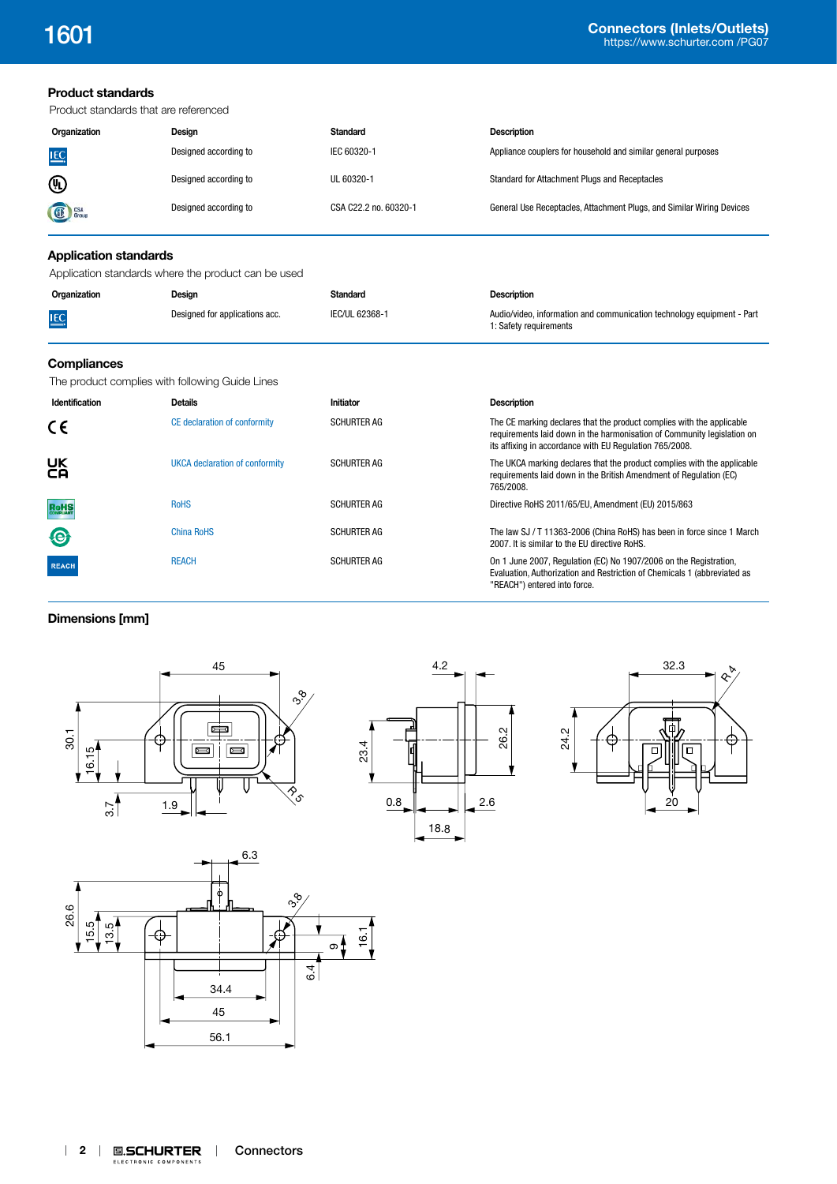## **Product standards**

Product standards that are referenced

| Organization   | Desian                | Standard              | <b>Description</b>                                                    |  |  |  |
|----------------|-----------------------|-----------------------|-----------------------------------------------------------------------|--|--|--|
| LEC.           | Designed according to | IEC 60320-1           | Appliance couplers for household and similar general purposes         |  |  |  |
| $^{\circledR}$ | Designed according to | UL 60320-1            | Standard for Attachment Plugs and Receptacles                         |  |  |  |
| <b>SE</b> CSA  | Designed according to | CSA C22.2 no. 60320-1 | General Use Receptacles, Attachment Plugs, and Similar Wiring Devices |  |  |  |

# **Application standards**

Application standards where the product can be used

| Organization | Design                         | Standard       | <b>Description</b>                                                                               |
|--------------|--------------------------------|----------------|--------------------------------------------------------------------------------------------------|
| <b>IEC</b>   | Designed for applications acc. | IEC/UL 62368-1 | Audio/video, information and communication technology equipment - Part<br>1: Safety requirements |

# **Compliances**

The product complies with following Guide Lines

| Identification | <b>Details</b>                 | Initiator          | <b>Description</b>                                                                                                                                                                                          |
|----------------|--------------------------------|--------------------|-------------------------------------------------------------------------------------------------------------------------------------------------------------------------------------------------------------|
| CE             | CE declaration of conformity   | <b>SCHURTER AG</b> | The CE marking declares that the product complies with the applicable<br>requirements laid down in the harmonisation of Community legislation on<br>its affixing in accordance with EU Regulation 765/2008. |
| UK<br>CA       | UKCA declaration of conformity | <b>SCHURTER AG</b> | The UKCA marking declares that the product complies with the applicable<br>requirements laid down in the British Amendment of Regulation (EC)<br>765/2008.                                                  |
| <b>RoHS</b>    | <b>RoHS</b>                    | <b>SCHURTER AG</b> | Directive RoHS 2011/65/EU, Amendment (EU) 2015/863                                                                                                                                                          |
| $\bigcirc$     | <b>China RoHS</b>              | <b>SCHURTER AG</b> | The law SJ / T 11363-2006 (China RoHS) has been in force since 1 March<br>2007. It is similar to the EU directive RoHS.                                                                                     |
| <b>REACH</b>   | <b>REACH</b>                   | <b>SCHURTER AG</b> | On 1 June 2007, Regulation (EC) No 1907/2006 on the Registration,<br>Evaluation, Authorization and Restriction of Chemicals 1 (abbreviated as<br>"REACH") entered into force.                               |

## **Dimensions [mm]**







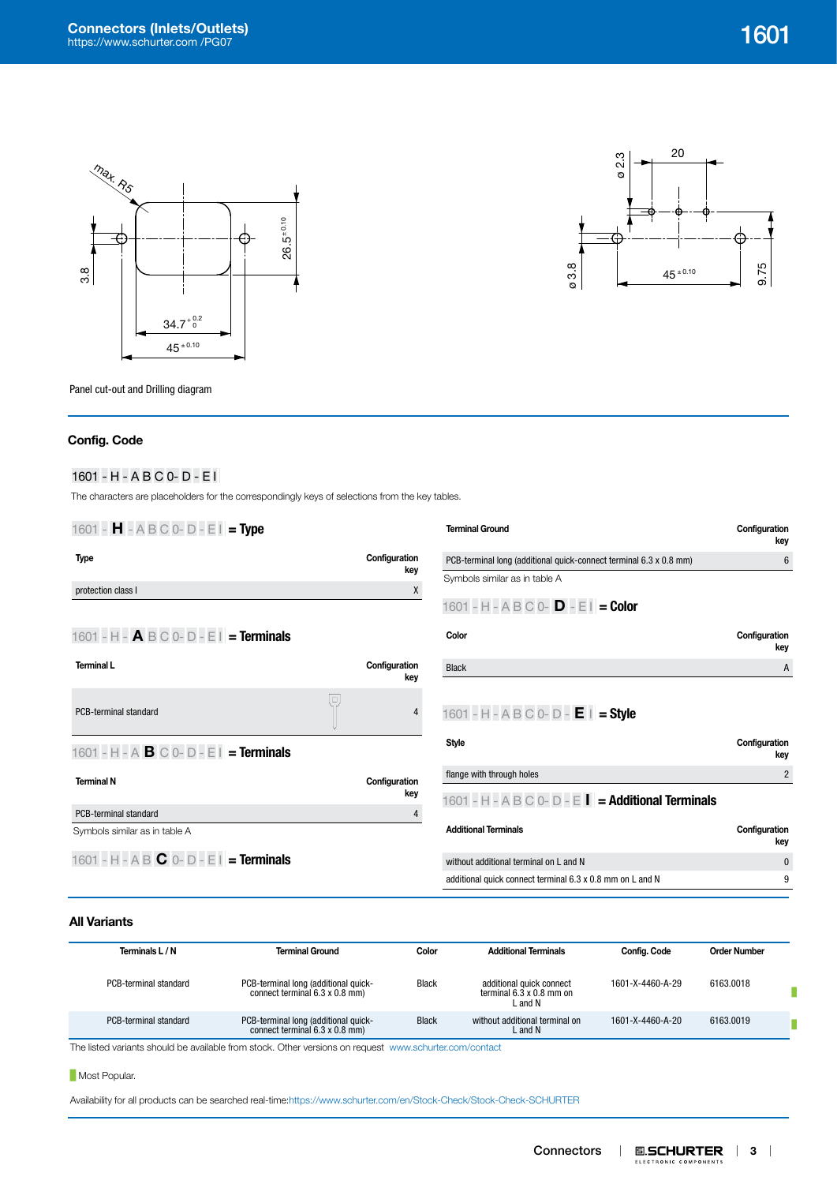



Panel cut-out and Drilling diagram

# **Config. Code**

# <sup>1601</sup>**|**-**|**H**|**-**|**A**|**B**|**C**|**0-**|**D**|**-**|**E**|**I**|**

The characters are placeholders for the correspondingly keys of selections from the key tables.

| 1601 - $H - A B C 0 - D - E I = Type$                                |                      | <b>Terminal Ground</b>                                             | Configuration<br>key |
|----------------------------------------------------------------------|----------------------|--------------------------------------------------------------------|----------------------|
| <b>Type</b>                                                          | Configuration        | PCB-terminal long (additional quick-connect terminal 6.3 x 0.8 mm) | 6                    |
|                                                                      | key                  | Symbols similar as in table A                                      |                      |
| protection class I                                                   | X                    | 1601 - H - A B C 0- $D - E I = Color$                              |                      |
| 1601 - H - $\mathbf{A} \mathbf{B} \mathbf{C}$ 0- D - E   = Terminals |                      | Color                                                              | Configuration<br>key |
| <b>Terminal L</b>                                                    | Configuration<br>key | <b>Black</b>                                                       | A                    |
|                                                                      |                      |                                                                    |                      |
| $\Box$<br>PCB-terminal standard                                      | 4                    | 1601 - H - A B C 0- D - $E$   = Style                              |                      |
| 1601 - H - A <b>B</b> C 0- D - E I = Terminals                       |                      | Style                                                              | Configuration<br>key |
| <b>Terminal N</b>                                                    | Configuration        | flange with through holes                                          | $\overline{2}$       |
|                                                                      | key                  | 1601 - H - A B C 0- D - E   = Additional Terminals                 |                      |
| PCB-terminal standard                                                | 4                    |                                                                    |                      |
| Symbols similar as in table A                                        |                      | <b>Additional Terminals</b>                                        | Configuration<br>key |
| 1601 - H - A B $\bf{C}$ 0- D - E I = Terminals                       |                      | without additional terminal on L and N                             | $\mathbf{0}$         |
|                                                                      |                      | additional quick connect terminal 6.3 x 0.8 mm on L and N          | 9                    |
|                                                                      |                      |                                                                    |                      |

## **All Variants**

L,

| Terminals L / N       | <b>Terminal Ground</b>                                                 | Color        | <b>Additional Terminals</b>                                            | Config. Code     | <b>Order Number</b> |  |
|-----------------------|------------------------------------------------------------------------|--------------|------------------------------------------------------------------------|------------------|---------------------|--|
| PCB-terminal standard | PCB-terminal long (additional quick-<br>connect terminal 6.3 x 0.8 mm) | Black        | additional quick connect<br>terminal $6.3 \times 0.8$ mm on<br>L and N | 1601-X-4460-A-29 | 6163.0018           |  |
| PCB-terminal standard | PCB-terminal long (additional quick-<br>connect terminal 6.3 x 0.8 mm) | <b>Black</b> | without additional terminal on<br>L and N                              | 1601-X-4460-A-20 | 6163,0019           |  |

The listed variants should be available from stock. Other versions on request [www.schurter.com/contact](http://www.schurter.com/en/contact)

**Most Popular.** 

Availability for all products can be searched real-time:<https://www.schurter.com/en/Stock-Check/Stock-Check-SCHURTER>